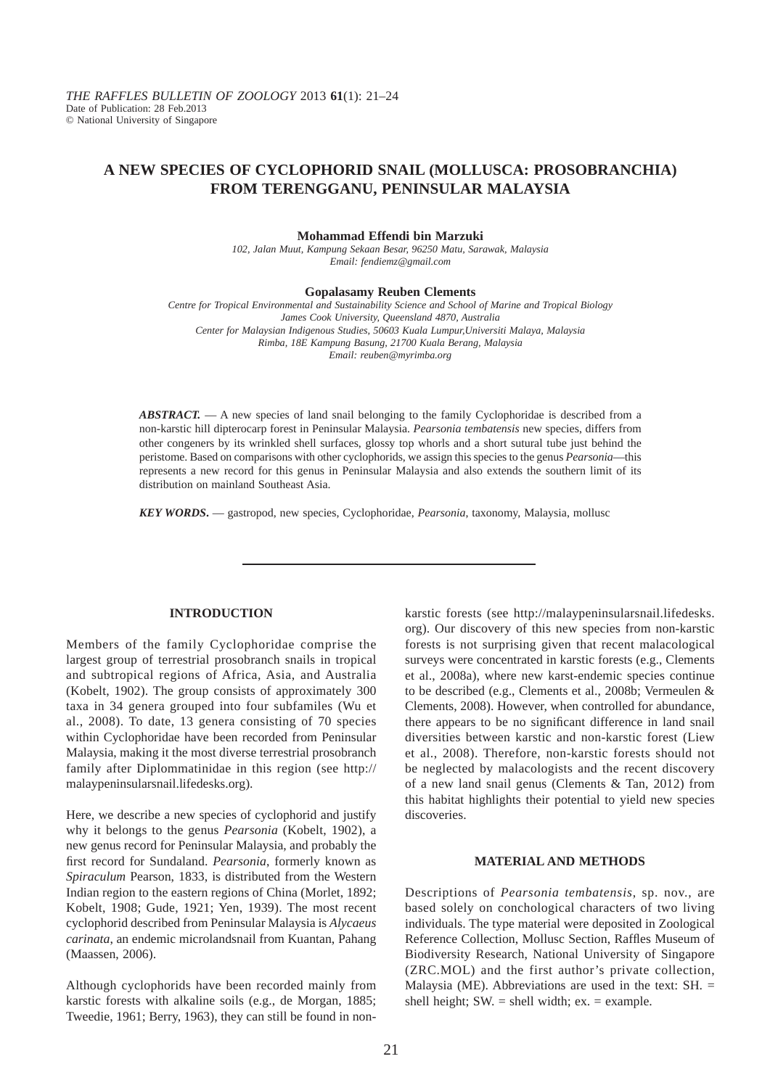# **A NEW SPECIES OF CYCLOPHORID SNAIL (MOLLUSCA: PROSOBRANCHIA) FROM TERENGGANU, PENINSULAR MALAYSIA**

#### **Mohammad Effendi bin Marzuki**

*102, Jalan Muut, Kampung Sekaan Besar, 96250 Matu, Sarawak, Malaysia Email: fendiemz@gmail.com*

#### **Gopalasamy Reuben Clements**

*Centre for Tropical Environmental and Sustainability Science and School of Marine and Tropical Biology James Cook University, Queensland 4870, Australia Center for Malaysian Indigenous Studies, 50603 Kuala Lumpur,Universiti Malaya, Malaysia Rimba, 18E Kampung Basung, 21700 Kuala Berang, Malaysia Email: reuben@myrimba.org*

*ABSTRACT.* — A new species of land snail belonging to the family Cyclophoridae is described from a non-karstic hill dipterocarp forest in Peninsular Malaysia. *Pearsonia tembatensis* new species, differs from other congeners by its wrinkled shell surfaces, glossy top whorls and a short sutural tube just behind the peristome. Based on comparisons with other cyclophorids, we assign this species to the genus *Pearsonia*—this represents a new record for this genus in Peninsular Malaysia and also extends the southern limit of its distribution on mainland Southeast Asia.

*KEY WORDS***.** — gastropod, new species, Cyclophoridae, *Pearsonia*, taxonomy, Malaysia, mollusc

### **INTRODUCTION**

Members of the family Cyclophoridae comprise the largest group of terrestrial prosobranch snails in tropical and subtropical regions of Africa, Asia, and Australia (Kobelt, 1902). The group consists of approximately 300 taxa in 34 genera grouped into four subfamiles (Wu et al., 2008). To date, 13 genera consisting of 70 species within Cyclophoridae have been recorded from Peninsular Malaysia, making it the most diverse terrestrial prosobranch family after Diplommatinidae in this region (see http:// malaypeninsularsnail.lifedesks.org).

Here, we describe a new species of cyclophorid and justify why it belongs to the genus *Pearsonia* (Kobelt, 1902), a new genus record for Peninsular Malaysia, and probably the first record for Sundaland. *Pearsonia*, formerly known as *Spiraculum* Pearson, 1833, is distributed from the Western Indian region to the eastern regions of China (Morlet, 1892; Kobelt, 1908; Gude, 1921; Yen, 1939). The most recent cyclophorid described from Peninsular Malaysia is *Alycaeus carinata*, an endemic microlandsnail from Kuantan, Pahang (Maassen, 2006).

Although cyclophorids have been recorded mainly from karstic forests with alkaline soils (e.g., de Morgan, 1885; Tweedie, 1961; Berry, 1963), they can still be found in nonkarstic forests (see http://malaypeninsularsnail.lifedesks. org). Our discovery of this new species from non-karstic forests is not surprising given that recent malacological surveys were concentrated in karstic forests (e.g., Clements et al., 2008a), where new karst-endemic species continue to be described (e.g., Clements et al., 2008b; Vermeulen & Clements, 2008). However, when controlled for abundance, there appears to be no significant difference in land snail diversities between karstic and non-karstic forest (Liew et al., 2008). Therefore, non-karstic forests should not be neglected by malacologists and the recent discovery of a new land snail genus (Clements & Tan, 2012) from this habitat highlights their potential to yield new species discoveries.

### **MATERIAL AND METHODS**

Descriptions of *Pearsonia tembatensis*, sp. nov., are based solely on conchological characters of two living individuals. The type material were deposited in Zoological Reference Collection, Mollusc Section, Raffles Museum of Biodiversity Research, National University of Singapore (ZRC.MOL) and the first author's private collection, Malaysia (ME). Abbreviations are used in the text:  $SH. =$ shell height;  $SW =$  shell width;  $ex =$  example.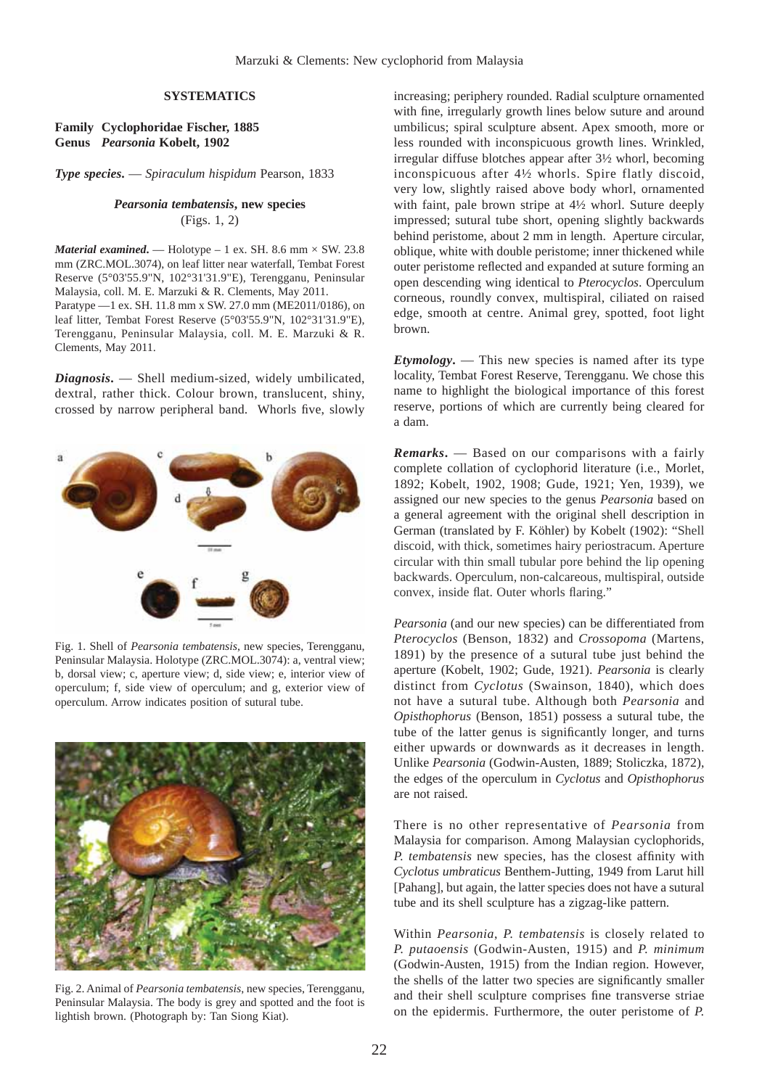### **SYSTEMATICS**

### **Family Cyclophoridae Fischer, 1885 Genus** *Pearsonia* **Kobelt, 1902**

*Type species***.** — *Spiraculum hispidum* Pearson, 1833

## *Pearsonia tembatensis***, new species** (Figs. 1, 2)

*Material examined.* — Holotype – 1 ex. SH. 8.6 mm  $\times$  SW. 23.8 mm (ZRC.MOL.3074), on leaf litter near waterfall, Tembat Forest Reserve (5°03'55.9"N, 102°31'31.9"E), Terengganu, Peninsular Malaysia, coll. M. E. Marzuki & R. Clements, May 2011. Paratype —1 ex. SH. 11.8 mm x SW. 27.0 mm (ME2011/0186), on leaf litter, Tembat Forest Reserve (5°03'55.9"N, 102°31'31.9"E), Terengganu, Peninsular Malaysia, coll. M. E. Marzuki & R. Clements, May 2011.

*Diagnosis***.** — Shell medium-sized, widely umbilicated, dextral, rather thick. Colour brown, translucent, shiny, crossed by narrow peripheral band. Whorls five, slowly



Fig. 1. Shell of *Pearsonia tembatensis*, new species, Terengganu, Peninsular Malaysia. Holotype (ZRC.MOL.3074): a, ventral view; b, dorsal view; c, aperture view; d, side view; e, interior view of operculum; f, side view of operculum; and g, exterior view of operculum. Arrow indicates position of sutural tube.



Fig. 2. Animal of *Pearsonia tembatensis*, new species, Terengganu, Peninsular Malaysia. The body is grey and spotted and the foot is lightish brown. (Photograph by: Tan Siong Kiat).

increasing; periphery rounded. Radial sculpture ornamented with fine, irregularly growth lines below suture and around umbilicus; spiral sculpture absent. Apex smooth, more or less rounded with inconspicuous growth lines. Wrinkled, irregular diffuse blotches appear after 3½ whorl, becoming inconspicuous after 4½ whorls. Spire flatly discoid, very low, slightly raised above body whorl, ornamented with faint, pale brown stripe at 4½ whorl. Suture deeply impressed; sutural tube short, opening slightly backwards behind peristome, about 2 mm in length. Aperture circular, oblique, white with double peristome; inner thickened while outer peristome reflected and expanded at suture forming an open descending wing identical to *Pterocyclos*. Operculum corneous, roundly convex, multispiral, ciliated on raised edge, smooth at centre. Animal grey, spotted, foot light brown.

*Etymology***.** — This new species is named after its type locality, Tembat Forest Reserve, Terengganu. We chose this name to highlight the biological importance of this forest reserve, portions of which are currently being cleared for a dam.

*Remarks***.** — Based on our comparisons with a fairly complete collation of cyclophorid literature (i.e., Morlet, 1892; Kobelt, 1902, 1908; Gude, 1921; Yen, 1939), we assigned our new species to the genus *Pearsonia* based on a general agreement with the original shell description in German (translated by F. Köhler) by Kobelt (1902): "Shell discoid, with thick, sometimes hairy periostracum. Aperture circular with thin small tubular pore behind the lip opening backwards. Operculum, non-calcareous, multispiral, outside convex, inside flat. Outer whorls flaring."

*Pearsonia* (and our new species) can be differentiated from *Pterocyclos* (Benson, 1832) and *Crossopoma* (Martens, 1891) by the presence of a sutural tube just behind the aperture (Kobelt, 1902; Gude, 1921). *Pearsonia* is clearly distinct from *Cyclotus* (Swainson, 1840), which does not have a sutural tube. Although both *Pearsonia* and *Opisthophorus* (Benson, 1851) possess a sutural tube, the tube of the latter genus is significantly longer, and turns either upwards or downwards as it decreases in length. Unlike *Pearsonia* (Godwin-Austen, 1889; Stoliczka, 1872), the edges of the operculum in *Cyclotus* and *Opisthophorus*  are not raised.

There is no other representative of *Pearsonia* from Malaysia for comparison. Among Malaysian cyclophorids, *P. tembatensis* new species, has the closest affinity with *Cyclotus umbraticus* Benthem-Jutting, 1949 from Larut hill [Pahang], but again, the latter species does not have a sutural tube and its shell sculpture has a zigzag-like pattern.

Within *Pearsonia*, *P. tembatensis* is closely related to *P. putaoensis* (Godwin-Austen, 1915) and *P. minimum* (Godwin-Austen, 1915) from the Indian region. However, the shells of the latter two species are significantly smaller and their shell sculpture comprises fine transverse striae on the epidermis. Furthermore, the outer peristome of *P.*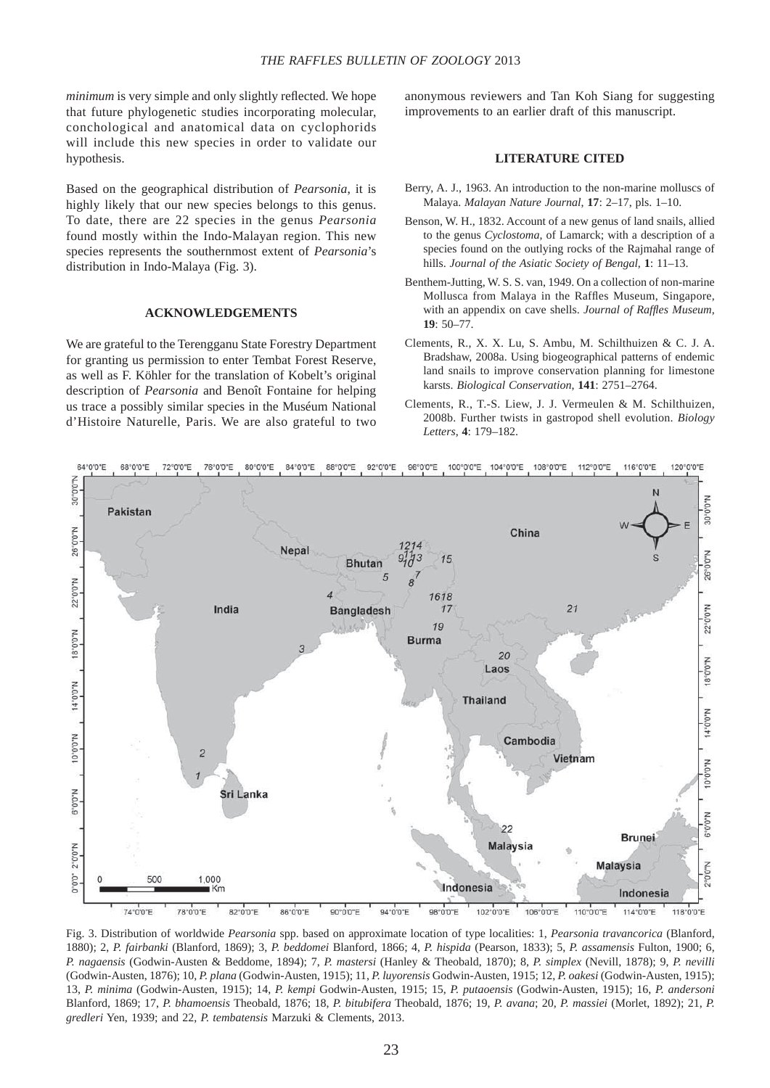*minimum* is very simple and only slightly reflected. We hope that future phylogenetic studies incorporating molecular, conchological and anatomical data on cyclophorids will include this new species in order to validate our hypothesis.

Based on the geographical distribution of *Pearsonia*, it is highly likely that our new species belongs to this genus. To date, there are 22 species in the genus *Pearsonia*  found mostly within the Indo-Malayan region. This new species represents the southernmost extent of *Pearsonia*'s distribution in Indo-Malaya (Fig. 3).

### **ACKNOWLEDGEMENTS**

We are grateful to the Terengganu State Forestry Department for granting us permission to enter Tembat Forest Reserve, as well as F. Köhler for the translation of Kobelt's original description of *Pearsonia* and Benoît Fontaine for helping us trace a possibly similar species in the Muséum National d'Histoire Naturelle, Paris. We are also grateful to two anonymous reviewers and Tan Koh Siang for suggesting improvements to an earlier draft of this manuscript.

### **LITERATURE CITED**

- Berry, A. J., 1963. An introduction to the non-marine molluscs of Malaya. *Malayan Nature Journal*, **17**: 2–17, pls. 1–10.
- Benson, W. H., 1832. Account of a new genus of land snails, allied to the genus *Cyclostoma*, of Lamarck; with a description of a species found on the outlying rocks of the Rajmahal range of hills. *Journal of the Asiatic Society of Bengal*, **1**: 11–13.
- Benthem-Jutting, W. S. S. van, 1949. On a collection of non-marine Mollusca from Malaya in the Raffles Museum, Singapore, with an appendix on cave shells. *Journal of Raffles Museum*, **19**: 50–77.
- Clements, R., X. X. Lu, S. Ambu, M. Schilthuizen & C. J. A. Bradshaw, 2008a. Using biogeographical patterns of endemic land snails to improve conservation planning for limestone karsts. *Biological Conservation*, **141**: 2751–2764.
- Clements, R., T.-S. Liew, J. J. Vermeulen & M. Schilthuizen, 2008b. Further twists in gastropod shell evolution. *Biology Letters*, **4**: 179–182.



Fig. 3. Distribution of worldwide *Pearsonia* spp. based on approximate location of type localities: 1, *Pearsonia travancorica* (Blanford, 1880); 2, *P. fairbanki* (Blanford, 1869); 3, *P. beddomei* Blanford, 1866; 4, *P. hispida* (Pearson, 1833); 5, *P. assamensis* Fulton, 1900; 6, *P. nagaensis* (Godwin-Austen & Beddome, 1894); 7, *P. mastersi* (Hanley & Theobald, 1870); 8, *P. simplex* (Nevill, 1878); 9, *P. nevilli* (Godwin-Austen, 1876); 10, *P. plana* (Godwin-Austen, 1915); 11, *P. luyorensis* Godwin-Austen, 1915; 12, *P. oakesi* (Godwin-Austen, 1915); 13, *P. minima* (Godwin-Austen, 1915); 14, *P. kempi* Godwin-Austen, 1915; 15, *P. putaoensis* (Godwin-Austen, 1915); 16, *P. andersoni* Blanford, 1869; 17, *P. bhamoensis* Theobald, 1876; 18, *P. bitubifera* Theobald, 1876; 19, *P. avana*; 20, *P. massiei* (Morlet, 1892); 21, *P. gredleri* Yen, 1939; and 22, *P. tembatensis* Marzuki & Clements, 2013.